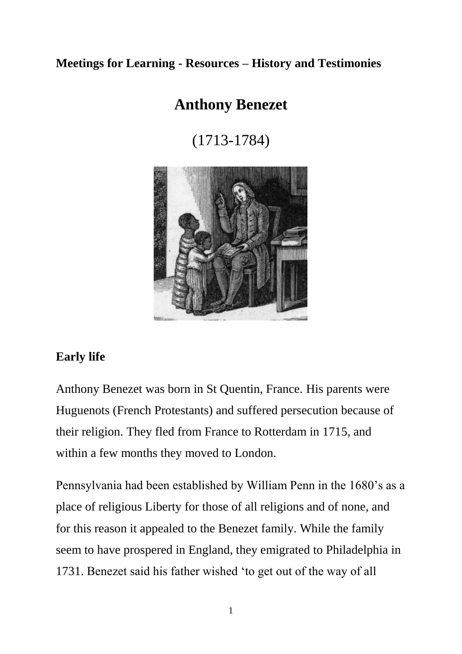## **Meetings for Learning - Resources – History and Testimonies**

# **Anthony Benezet**

(1713-1784)



## **Early life**

Anthony Benezet was born in St Quentin, France. His parents were Huguenots (French Protestants) and suffered persecution because of their religion. They fled from France to Rotterdam in 1715, and within a few months they moved to London.

Pennsylvania had been established by William Penn in the 1680's as a place of religious Liberty for those of all religions and of none, and for this reason it appealed to the Benezet family. While the family seem to have prospered in England, they emigrated to Philadelphia in 1731. Benezet said his father wished 'to get out of the way of all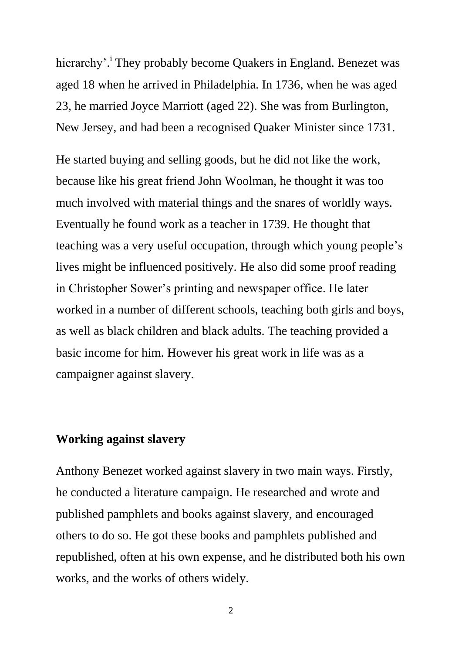hierarchy'.<sup>i</sup> They probably become Quakers in England. Benezet was aged 18 when he arrived in Philadelphia. In 1736, when he was aged 23, he married Joyce Marriott (aged 22). She was from Burlington, New Jersey, and had been a recognised Quaker Minister since 1731.

He started buying and selling goods, but he did not like the work, because like his great friend John Woolman, he thought it was too much involved with material things and the snares of worldly ways. Eventually he found work as a teacher in 1739. He thought that teaching was a very useful occupation, through which young people's lives might be influenced positively. He also did some proof reading in Christopher Sower's printing and newspaper office. He later worked in a number of different schools, teaching both girls and boys, as well as black children and black adults. The teaching provided a basic income for him. However his great work in life was as a campaigner against slavery.

#### **Working against slavery**

Anthony Benezet worked against slavery in two main ways. Firstly, he conducted a literature campaign. He researched and wrote and published pamphlets and books against slavery, and encouraged others to do so. He got these books and pamphlets published and republished, often at his own expense, and he distributed both his own works, and the works of others widely.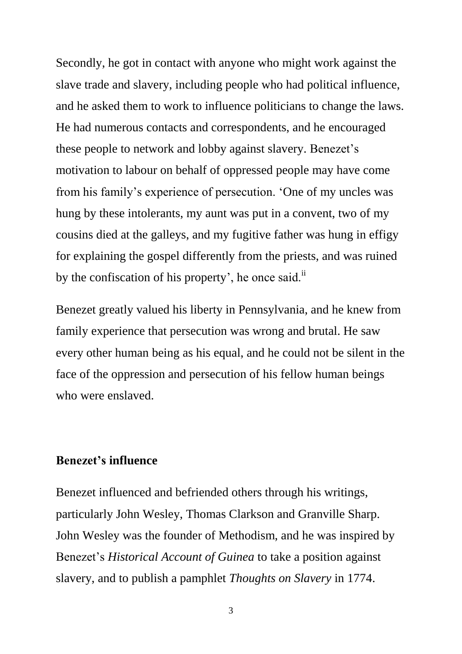Secondly, he got in contact with anyone who might work against the slave trade and slavery, including people who had political influence, and he asked them to work to influence politicians to change the laws. He had numerous contacts and correspondents, and he encouraged these people to network and lobby against slavery. Benezet's motivation to labour on behalf of oppressed people may have come from his family's experience of persecution. 'One of my uncles was hung by these intolerants, my aunt was put in a convent, two of my cousins died at the galleys, and my fugitive father was hung in effigy for explaining the gospel differently from the priests, and was ruined by the confiscation of his property', he once said.<sup>ii</sup>

Benezet greatly valued his liberty in Pennsylvania, and he knew from family experience that persecution was wrong and brutal. He saw every other human being as his equal, and he could not be silent in the face of the oppression and persecution of his fellow human beings who were enslaved.

#### **Benezet's influence**

Benezet influenced and befriended others through his writings, particularly John Wesley, Thomas Clarkson and Granville Sharp. John Wesley was the founder of Methodism, and he was inspired by Benezet's *Historical Account of Guinea* to take a position against slavery, and to publish a pamphlet *Thoughts on Slavery* in 1774.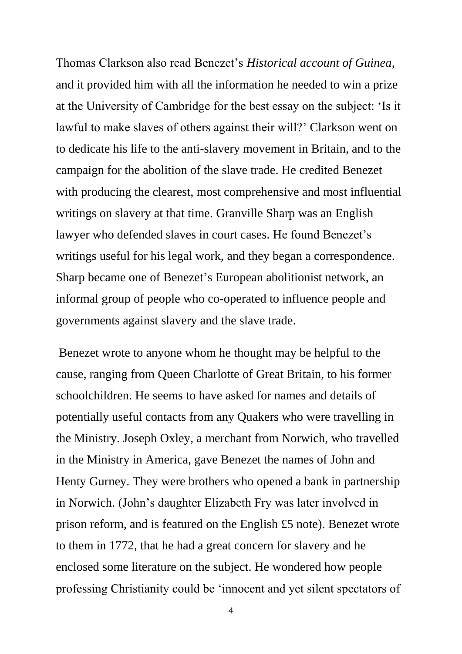Thomas Clarkson also read Benezet's *Historical account of Guinea*, and it provided him with all the information he needed to win a prize at the University of Cambridge for the best essay on the subject: 'Is it lawful to make slaves of others against their will?' Clarkson went on to dedicate his life to the anti-slavery movement in Britain, and to the campaign for the abolition of the slave trade. He credited Benezet with producing the clearest, most comprehensive and most influential writings on slavery at that time. Granville Sharp was an English lawyer who defended slaves in court cases. He found Benezet's writings useful for his legal work, and they began a correspondence. Sharp became one of Benezet's European abolitionist network, an informal group of people who co-operated to influence people and governments against slavery and the slave trade.

Benezet wrote to anyone whom he thought may be helpful to the cause, ranging from Queen Charlotte of Great Britain, to his former schoolchildren. He seems to have asked for names and details of potentially useful contacts from any Quakers who were travelling in the Ministry. Joseph Oxley, a merchant from Norwich, who travelled in the Ministry in America, gave Benezet the names of John and Henty Gurney. They were brothers who opened a bank in partnership in Norwich. (John's daughter Elizabeth Fry was later involved in prison reform, and is featured on the English £5 note). Benezet wrote to them in 1772, that he had a great concern for slavery and he enclosed some literature on the subject. He wondered how people professing Christianity could be 'innocent and yet silent spectators of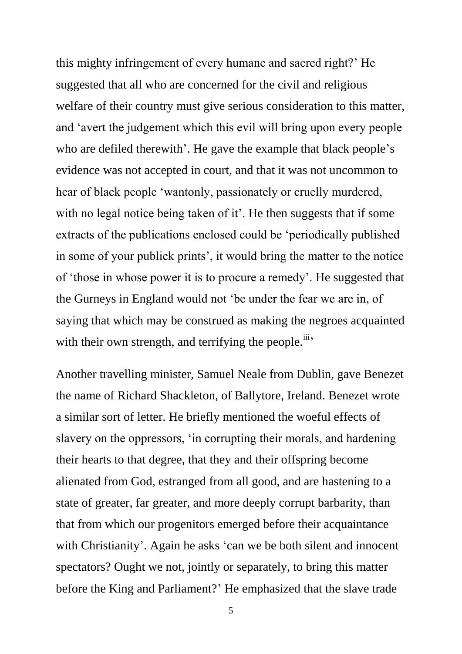this mighty infringement of every humane and sacred right?' He suggested that all who are concerned for the civil and religious welfare of their country must give serious consideration to this matter, and 'avert the judgement which this evil will bring upon every people who are defiled therewith'. He gave the example that black people's evidence was not accepted in court, and that it was not uncommon to hear of black people 'wantonly, passionately or cruelly murdered, with no legal notice being taken of it'. He then suggests that if some extracts of the publications enclosed could be 'periodically published in some of your publick prints', it would bring the matter to the notice of 'those in whose power it is to procure a remedy'. He suggested that the Gurneys in England would not 'be under the fear we are in, of saying that which may be construed as making the negroes acquainted with their own strength, and terrifying the people.<sup>iii</sup>'

Another travelling minister, Samuel Neale from Dublin, gave Benezet the name of Richard Shackleton, of Ballytore, Ireland. Benezet wrote a similar sort of letter. He briefly mentioned the woeful effects of slavery on the oppressors, 'in corrupting their morals, and hardening their hearts to that degree, that they and their offspring become alienated from God, estranged from all good, and are hastening to a state of greater, far greater, and more deeply corrupt barbarity, than that from which our progenitors emerged before their acquaintance with Christianity'. Again he asks 'can we be both silent and innocent spectators? Ought we not, jointly or separately, to bring this matter before the King and Parliament?' He emphasized that the slave trade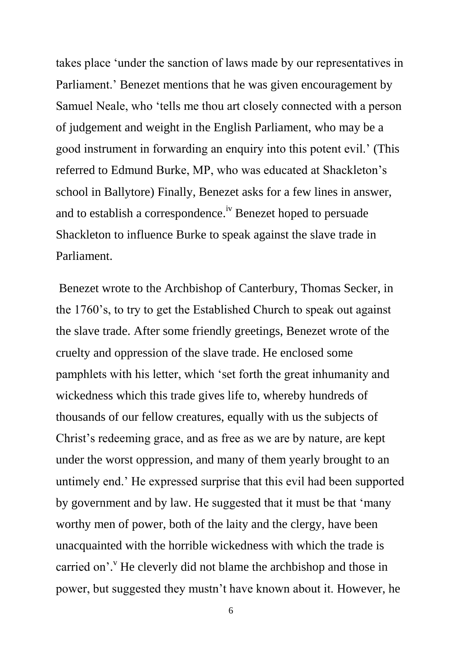takes place 'under the sanction of laws made by our representatives in Parliament.' Benezet mentions that he was given encouragement by Samuel Neale, who 'tells me thou art closely connected with a person of judgement and weight in the English Parliament, who may be a good instrument in forwarding an enquiry into this potent evil.' (This referred to Edmund Burke, MP, who was educated at Shackleton's school in Ballytore) Finally, Benezet asks for a few lines in answer, and to establish a correspondence.<sup>iv</sup> Benezet hoped to persuade Shackleton to influence Burke to speak against the slave trade in Parliament.

Benezet wrote to the Archbishop of Canterbury, Thomas Secker, in the 1760's, to try to get the Established Church to speak out against the slave trade. After some friendly greetings, Benezet wrote of the cruelty and oppression of the slave trade. He enclosed some pamphlets with his letter, which 'set forth the great inhumanity and wickedness which this trade gives life to, whereby hundreds of thousands of our fellow creatures, equally with us the subjects of Christ's redeeming grace, and as free as we are by nature, are kept under the worst oppression, and many of them yearly brought to an untimely end.' He expressed surprise that this evil had been supported by government and by law. He suggested that it must be that 'many worthy men of power, both of the laity and the clergy, have been unacquainted with the horrible wickedness with which the trade is carried on'.<sup>V</sup> He cleverly did not blame the archbishop and those in power, but suggested they mustn't have known about it. However, he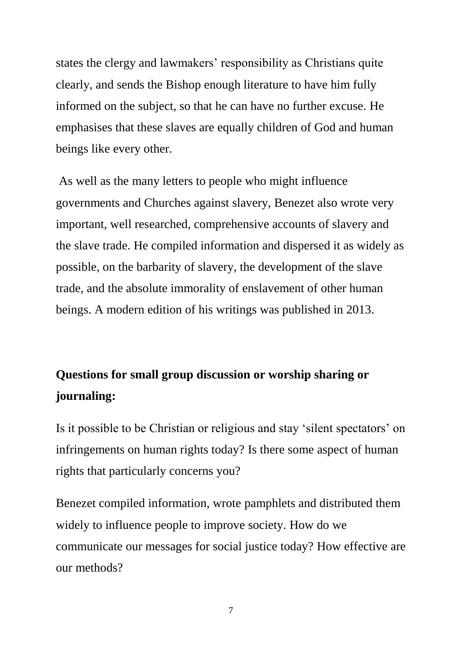states the clergy and lawmakers' responsibility as Christians quite clearly, and sends the Bishop enough literature to have him fully informed on the subject, so that he can have no further excuse. He emphasises that these slaves are equally children of God and human beings like every other.

As well as the many letters to people who might influence governments and Churches against slavery, Benezet also wrote very important, well researched, comprehensive accounts of slavery and the slave trade. He compiled information and dispersed it as widely as possible, on the barbarity of slavery, the development of the slave trade, and the absolute immorality of enslavement of other human beings. A modern edition of his writings was published in 2013.

# **Questions for small group discussion or worship sharing or journaling:**

Is it possible to be Christian or religious and stay 'silent spectators' on infringements on human rights today? Is there some aspect of human rights that particularly concerns you?

Benezet compiled information, wrote pamphlets and distributed them widely to influence people to improve society. How do we communicate our messages for social justice today? How effective are our methods?